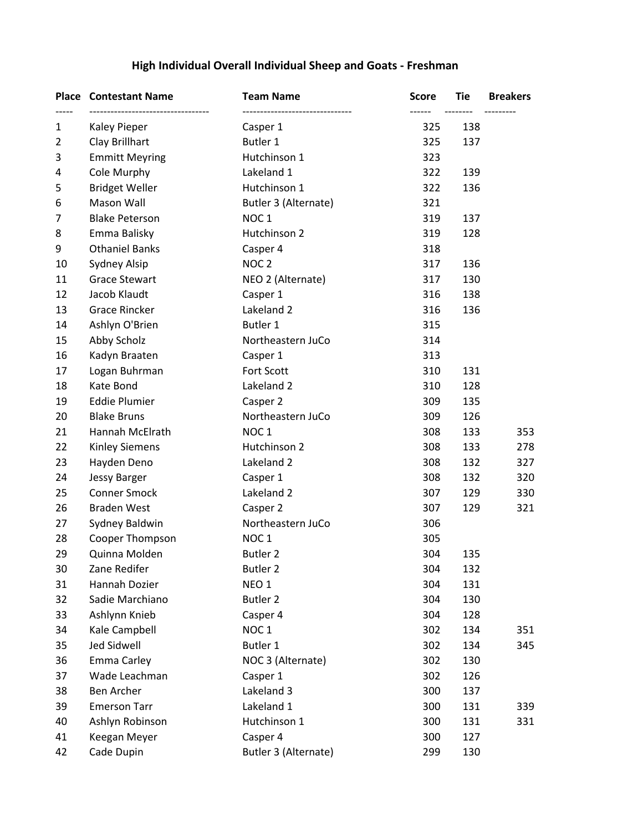# **High Individual Overall Individual Sheep and Goats - Freshman**

|    | <b>Place Contestant Name</b><br>------------------------------ | <b>Team Name</b>     | <b>Score</b> | Tie | <b>Breakers</b> |
|----|----------------------------------------------------------------|----------------------|--------------|-----|-----------------|
| 1  | Kaley Pieper                                                   | Casper 1             | 325          | 138 |                 |
| 2  | Clay Brillhart                                                 | Butler 1             | 325          | 137 |                 |
| 3  | <b>Emmitt Meyring</b>                                          | Hutchinson 1         | 323          |     |                 |
| 4  | Cole Murphy                                                    | Lakeland 1           | 322          | 139 |                 |
| 5  | <b>Bridget Weller</b>                                          | Hutchinson 1         | 322          | 136 |                 |
| 6  | Mason Wall                                                     | Butler 3 (Alternate) | 321          |     |                 |
| 7  | <b>Blake Peterson</b>                                          | NOC <sub>1</sub>     | 319          | 137 |                 |
| 8  | Emma Balisky                                                   | Hutchinson 2         | 319          | 128 |                 |
| 9  | <b>Othaniel Banks</b>                                          | Casper 4             | 318          |     |                 |
| 10 | Sydney Alsip                                                   | NOC <sub>2</sub>     | 317          | 136 |                 |
| 11 | <b>Grace Stewart</b>                                           | NEO 2 (Alternate)    | 317          | 130 |                 |
| 12 | Jacob Klaudt                                                   | Casper 1             | 316          | 138 |                 |
| 13 | <b>Grace Rincker</b>                                           | Lakeland 2           | 316          | 136 |                 |
| 14 | Ashlyn O'Brien                                                 | Butler 1             | 315          |     |                 |
| 15 | Abby Scholz                                                    | Northeastern JuCo    | 314          |     |                 |
| 16 | Kadyn Braaten                                                  | Casper 1             | 313          |     |                 |
| 17 | Logan Buhrman                                                  | Fort Scott           | 310          | 131 |                 |
| 18 | Kate Bond                                                      | Lakeland 2           | 310          | 128 |                 |
| 19 | <b>Eddie Plumier</b>                                           | Casper 2             | 309          | 135 |                 |
| 20 | <b>Blake Bruns</b>                                             | Northeastern JuCo    | 309          | 126 |                 |
| 21 | Hannah McElrath                                                | NOC <sub>1</sub>     | 308          | 133 | 353             |
| 22 | <b>Kinley Siemens</b>                                          | Hutchinson 2         | 308          | 133 | 278             |
| 23 | Hayden Deno                                                    | Lakeland 2           | 308          | 132 | 327             |
| 24 | Jessy Barger                                                   | Casper 1             | 308          | 132 | 320             |
| 25 | <b>Conner Smock</b>                                            | Lakeland 2           | 307          | 129 | 330             |
| 26 | <b>Braden West</b>                                             | Casper 2             | 307          | 129 | 321             |
| 27 | Sydney Baldwin                                                 | Northeastern JuCo    | 306          |     |                 |
| 28 | Cooper Thompson                                                | NOC <sub>1</sub>     | 305          |     |                 |
| 29 | Quinna Molden                                                  | <b>Butler 2</b>      | 304          | 135 |                 |
| 30 | Zane Redifer                                                   | <b>Butler 2</b>      | 304          | 132 |                 |
| 31 | Hannah Dozier                                                  | NEO <sub>1</sub>     | 304          | 131 |                 |
| 32 | Sadie Marchiano                                                | Butler <sub>2</sub>  | 304          | 130 |                 |
| 33 | Ashlynn Knieb                                                  | Casper 4             | 304          | 128 |                 |
| 34 | Kale Campbell                                                  | NOC <sub>1</sub>     | 302          | 134 | 351             |
| 35 | <b>Jed Sidwell</b>                                             | Butler 1             | 302          | 134 | 345             |
| 36 | Emma Carley                                                    | NOC 3 (Alternate)    | 302          | 130 |                 |
| 37 | Wade Leachman                                                  | Casper 1             | 302          | 126 |                 |
| 38 | Ben Archer                                                     | Lakeland 3           | 300          | 137 |                 |
| 39 | <b>Emerson Tarr</b>                                            | Lakeland 1           | 300          | 131 | 339             |
| 40 | Ashlyn Robinson                                                | Hutchinson 1         | 300          | 131 | 331             |
| 41 | Keegan Meyer                                                   | Casper 4             | 300          | 127 |                 |
| 42 | Cade Dupin                                                     | Butler 3 (Alternate) | 299          | 130 |                 |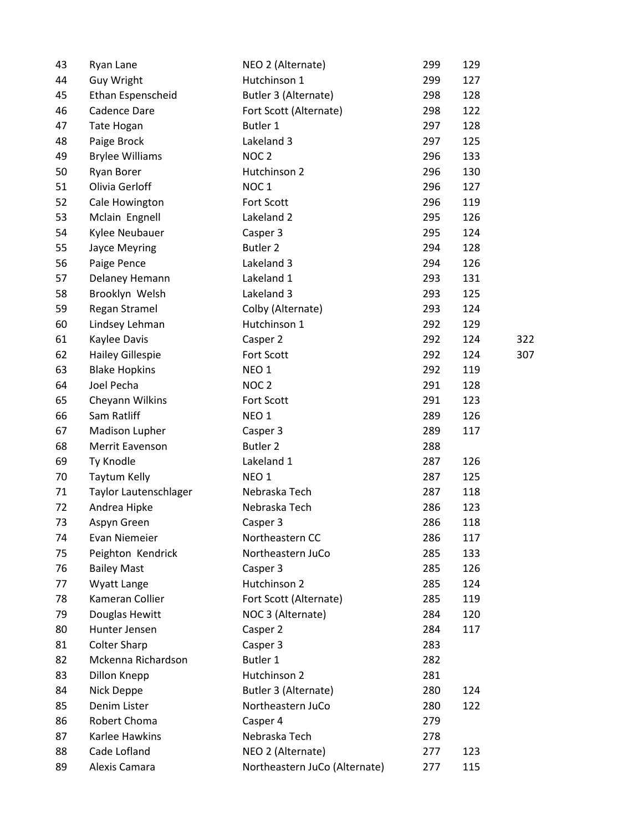| 43 | Ryan Lane               | NEO 2 (Alternate)             | 299 | 129 |     |
|----|-------------------------|-------------------------------|-----|-----|-----|
| 44 | <b>Guy Wright</b>       | Hutchinson 1                  | 299 | 127 |     |
| 45 | Ethan Espenscheid       | Butler 3 (Alternate)          | 298 | 128 |     |
| 46 | Cadence Dare            | Fort Scott (Alternate)        | 298 | 122 |     |
| 47 | Tate Hogan              | Butler 1                      | 297 | 128 |     |
| 48 | Paige Brock             | Lakeland 3                    | 297 | 125 |     |
| 49 | <b>Brylee Williams</b>  | NOC <sub>2</sub>              | 296 | 133 |     |
| 50 | Ryan Borer              | Hutchinson 2                  | 296 | 130 |     |
| 51 | Olivia Gerloff          | NOC <sub>1</sub>              | 296 | 127 |     |
| 52 | Cale Howington          | Fort Scott                    | 296 | 119 |     |
| 53 | Mclain Engnell          | Lakeland 2                    | 295 | 126 |     |
| 54 | Kylee Neubauer          | Casper 3                      | 295 | 124 |     |
| 55 | Jayce Meyring           | <b>Butler 2</b>               | 294 | 128 |     |
| 56 | Paige Pence             | Lakeland 3                    | 294 | 126 |     |
| 57 | Delaney Hemann          | Lakeland 1                    | 293 | 131 |     |
| 58 | Brooklyn Welsh          | Lakeland 3                    | 293 | 125 |     |
| 59 | Regan Stramel           | Colby (Alternate)             | 293 | 124 |     |
| 60 | Lindsey Lehman          | Hutchinson 1                  | 292 | 129 |     |
| 61 | Kaylee Davis            | Casper 2                      | 292 | 124 | 322 |
| 62 | <b>Hailey Gillespie</b> | Fort Scott                    | 292 | 124 | 307 |
| 63 | <b>Blake Hopkins</b>    | NEO <sub>1</sub>              | 292 | 119 |     |
| 64 | Joel Pecha              | NOC <sub>2</sub>              | 291 | 128 |     |
| 65 | Cheyann Wilkins         | Fort Scott                    | 291 | 123 |     |
| 66 | Sam Ratliff             | NEO <sub>1</sub>              | 289 | 126 |     |
| 67 | Madison Lupher          | Casper 3                      | 289 | 117 |     |
| 68 | Merrit Eavenson         | <b>Butler 2</b>               | 288 |     |     |
| 69 | Ty Knodle               | Lakeland 1                    | 287 | 126 |     |
| 70 | Taytum Kelly            | NEO <sub>1</sub>              | 287 | 125 |     |
| 71 | Taylor Lautenschlager   | Nebraska Tech                 | 287 | 118 |     |
| 72 | Andrea Hipke            | Nebraska Tech                 | 286 | 123 |     |
| 73 | Aspyn Green             | Casper 3                      | 286 | 118 |     |
| 74 | Evan Niemeier           | Northeastern CC               | 286 | 117 |     |
| 75 | Peighton Kendrick       | Northeastern JuCo             | 285 | 133 |     |
| 76 | <b>Bailey Mast</b>      | Casper 3                      | 285 | 126 |     |
| 77 | Wyatt Lange             | Hutchinson 2                  | 285 | 124 |     |
| 78 | Kameran Collier         | Fort Scott (Alternate)        | 285 | 119 |     |
| 79 | Douglas Hewitt          | NOC 3 (Alternate)             | 284 | 120 |     |
| 80 | Hunter Jensen           | Casper 2                      | 284 | 117 |     |
| 81 | <b>Colter Sharp</b>     | Casper 3                      | 283 |     |     |
| 82 | Mckenna Richardson      | Butler 1                      | 282 |     |     |
| 83 | Dillon Knepp            | Hutchinson 2                  | 281 |     |     |
| 84 | Nick Deppe              | Butler 3 (Alternate)          | 280 | 124 |     |
| 85 | Denim Lister            | Northeastern JuCo             | 280 | 122 |     |
| 86 | Robert Choma            | Casper 4                      | 279 |     |     |
| 87 | Karlee Hawkins          | Nebraska Tech                 | 278 |     |     |
| 88 | Cade Lofland            | NEO 2 (Alternate)             | 277 | 123 |     |
| 89 | Alexis Camara           | Northeastern JuCo (Alternate) | 277 | 115 |     |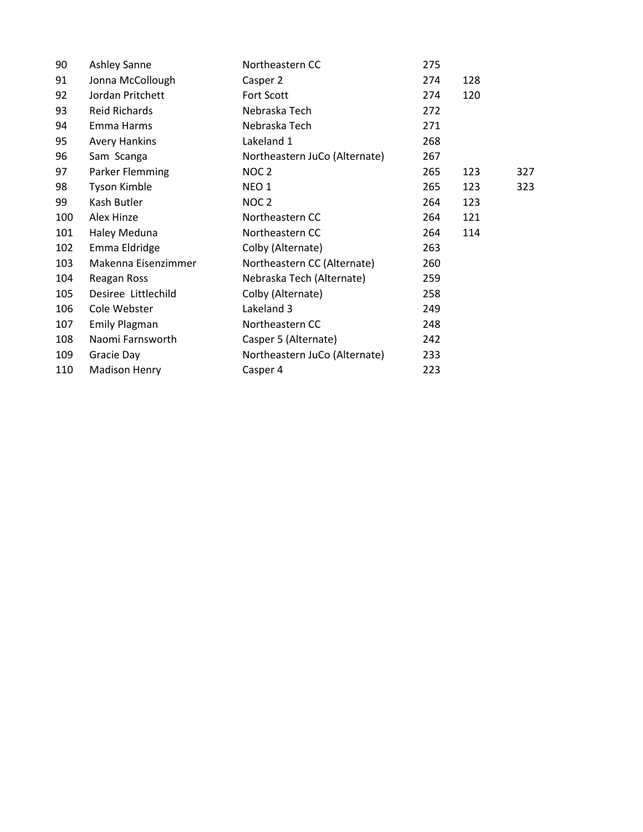| 90  | Ashley Sanne         | Northeastern CC               | 275 |     |     |
|-----|----------------------|-------------------------------|-----|-----|-----|
| 91  | Jonna McCollough     | Casper 2                      | 274 | 128 |     |
| 92  | Jordan Pritchett     | Fort Scott                    | 274 | 120 |     |
| 93  | Reid Richards        | Nebraska Tech                 | 272 |     |     |
| 94  | Emma Harms           | Nebraska Tech                 | 271 |     |     |
| 95  | <b>Avery Hankins</b> | Lakeland 1                    | 268 |     |     |
| 96  | Sam Scanga           | Northeastern JuCo (Alternate) | 267 |     |     |
| 97  | Parker Flemming      | NOC 2                         | 265 | 123 | 327 |
| 98  | <b>Tyson Kimble</b>  | NEO <sub>1</sub>              | 265 | 123 | 323 |
| 99  | Kash Butler          | NOC <sub>2</sub>              | 264 | 123 |     |
| 100 | Alex Hinze           | Northeastern CC               | 264 | 121 |     |
| 101 | Haley Meduna         | Northeastern CC               | 264 | 114 |     |
| 102 | Emma Eldridge        | Colby (Alternate)             | 263 |     |     |
| 103 | Makenna Eisenzimmer  | Northeastern CC (Alternate)   | 260 |     |     |
| 104 | Reagan Ross          | Nebraska Tech (Alternate)     | 259 |     |     |
| 105 | Desiree Littlechild  | Colby (Alternate)             | 258 |     |     |
| 106 | Cole Webster         | Lakeland 3                    | 249 |     |     |
| 107 | <b>Emily Plagman</b> | Northeastern CC               | 248 |     |     |
| 108 | Naomi Farnsworth     | Casper 5 (Alternate)          | 242 |     |     |
| 109 | Gracie Day           | Northeastern JuCo (Alternate) | 233 |     |     |
| 110 | <b>Madison Henry</b> | Casper 4                      | 223 |     |     |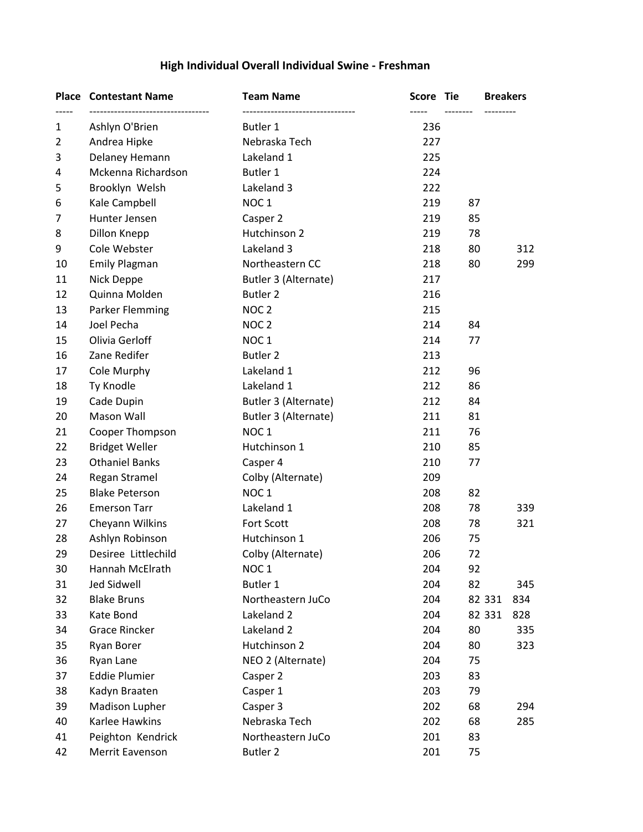# **High Individual Overall Individual Swine - Freshman**

|    | <b>Place Contestant Name</b><br>------------------------------- | <b>Team Name</b>                              | <b>Score</b> | Tie | <b>Breakers</b> |
|----|-----------------------------------------------------------------|-----------------------------------------------|--------------|-----|-----------------|
| 1  | Ashlyn O'Brien                                                  | ---------------------------------<br>Butler 1 | 236          |     |                 |
| 2  | Andrea Hipke                                                    | Nebraska Tech                                 | 227          |     |                 |
| 3  | Delaney Hemann                                                  | Lakeland 1                                    | 225          |     |                 |
| 4  | Mckenna Richardson                                              | Butler 1                                      | 224          |     |                 |
| 5  | Brooklyn Welsh                                                  | Lakeland 3                                    | 222          |     |                 |
| 6  | Kale Campbell                                                   | NOC <sub>1</sub>                              | 219          | 87  |                 |
| 7  | Hunter Jensen                                                   | Casper 2                                      | 219          | 85  |                 |
| 8  | Dillon Knepp                                                    | Hutchinson 2                                  | 219          | 78  |                 |
| 9  | Cole Webster                                                    | Lakeland 3                                    | 218          | 80  | 312             |
| 10 | <b>Emily Plagman</b>                                            | Northeastern CC                               | 218          | 80  | 299             |
| 11 | Nick Deppe                                                      | Butler 3 (Alternate)                          | 217          |     |                 |
| 12 | Quinna Molden                                                   | <b>Butler 2</b>                               | 216          |     |                 |
| 13 | Parker Flemming                                                 | NOC <sub>2</sub>                              | 215          |     |                 |
| 14 | Joel Pecha                                                      | NOC <sub>2</sub>                              | 214          | 84  |                 |
| 15 | Olivia Gerloff                                                  | NOC <sub>1</sub>                              | 214          | 77  |                 |
| 16 | Zane Redifer                                                    | <b>Butler 2</b>                               | 213          |     |                 |
| 17 | Cole Murphy                                                     | Lakeland 1                                    | 212          | 96  |                 |
| 18 | Ty Knodle                                                       | Lakeland 1                                    | 212          | 86  |                 |
| 19 | Cade Dupin                                                      | Butler 3 (Alternate)                          | 212          | 84  |                 |
| 20 | Mason Wall                                                      | Butler 3 (Alternate)                          | 211          | 81  |                 |
| 21 | Cooper Thompson                                                 | NOC <sub>1</sub>                              | 211          | 76  |                 |
| 22 | <b>Bridget Weller</b>                                           | Hutchinson 1                                  | 210          | 85  |                 |
| 23 | <b>Othaniel Banks</b>                                           | Casper 4                                      | 210          | 77  |                 |
| 24 | Regan Stramel                                                   | Colby (Alternate)                             | 209          |     |                 |
| 25 | <b>Blake Peterson</b>                                           | NOC <sub>1</sub>                              | 208          | 82  |                 |
| 26 | <b>Emerson Tarr</b>                                             | Lakeland 1                                    | 208          | 78  | 339             |
| 27 | Cheyann Wilkins                                                 | Fort Scott                                    | 208          | 78  | 321             |
| 28 | Ashlyn Robinson                                                 | Hutchinson 1                                  | 206          | 75  |                 |
| 29 | Desiree Littlechild                                             | Colby (Alternate)                             | 206          | 72  |                 |
| 30 | Hannah McElrath                                                 | NOC <sub>1</sub>                              | 204          | 92  |                 |
| 31 | <b>Jed Sidwell</b>                                              | Butler 1                                      | 204          | 82  | 345             |
| 32 | <b>Blake Bruns</b>                                              | Northeastern JuCo                             | 204          |     | 82 331<br>834   |
| 33 | Kate Bond                                                       | Lakeland 2                                    | 204          |     | 82 331<br>828   |
| 34 | <b>Grace Rincker</b>                                            | Lakeland 2                                    | 204          | 80  | 335             |
| 35 | Ryan Borer                                                      | Hutchinson 2                                  | 204          | 80  | 323             |
| 36 | Ryan Lane                                                       | NEO 2 (Alternate)                             | 204          | 75  |                 |
| 37 | <b>Eddie Plumier</b>                                            | Casper 2                                      | 203          | 83  |                 |
| 38 | Kadyn Braaten                                                   | Casper 1                                      | 203          | 79  |                 |
| 39 | Madison Lupher                                                  | Casper 3                                      | 202          | 68  | 294             |
| 40 | Karlee Hawkins                                                  | Nebraska Tech                                 | 202          | 68  | 285             |
| 41 | Peighton Kendrick                                               | Northeastern JuCo                             | 201          | 83  |                 |
| 42 | Merrit Eavenson                                                 | <b>Butler 2</b>                               | 201          | 75  |                 |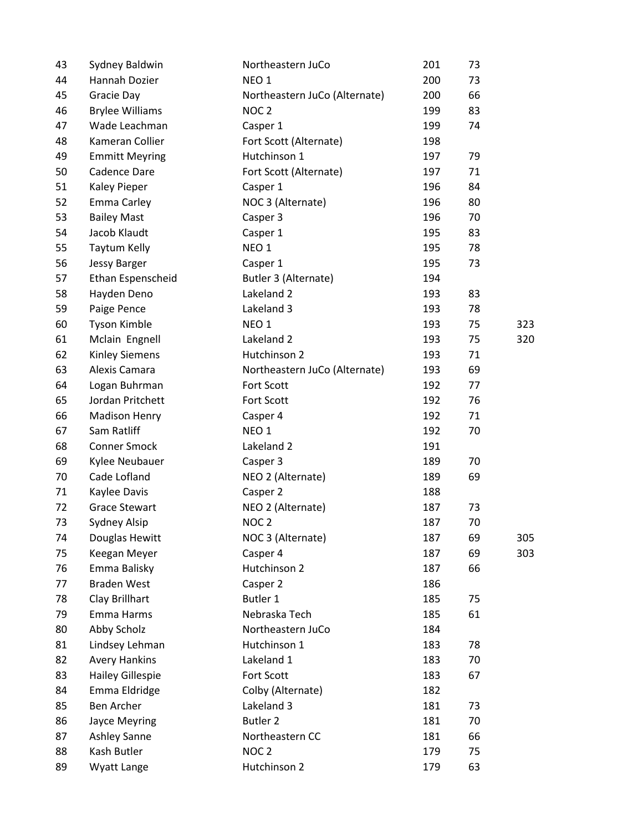| 43 | Sydney Baldwin         | Northeastern JuCo             | 201 | 73 |     |
|----|------------------------|-------------------------------|-----|----|-----|
| 44 | Hannah Dozier          | NEO <sub>1</sub>              | 200 | 73 |     |
| 45 | Gracie Day             | Northeastern JuCo (Alternate) | 200 | 66 |     |
| 46 | <b>Brylee Williams</b> | NOC <sub>2</sub>              | 199 | 83 |     |
| 47 | Wade Leachman          | Casper 1                      | 199 | 74 |     |
| 48 | Kameran Collier        | Fort Scott (Alternate)        | 198 |    |     |
| 49 | <b>Emmitt Meyring</b>  | Hutchinson 1                  | 197 | 79 |     |
| 50 | Cadence Dare           | Fort Scott (Alternate)        | 197 | 71 |     |
| 51 | Kaley Pieper           | Casper 1                      | 196 | 84 |     |
| 52 | <b>Emma Carley</b>     | NOC 3 (Alternate)             | 196 | 80 |     |
| 53 | <b>Bailey Mast</b>     | Casper 3                      | 196 | 70 |     |
| 54 | Jacob Klaudt           | Casper 1                      | 195 | 83 |     |
| 55 | Taytum Kelly           | NEO <sub>1</sub>              | 195 | 78 |     |
| 56 | <b>Jessy Barger</b>    | Casper 1                      | 195 | 73 |     |
| 57 | Ethan Espenscheid      | Butler 3 (Alternate)          | 194 |    |     |
| 58 | Hayden Deno            | Lakeland 2                    | 193 | 83 |     |
| 59 | Paige Pence            | Lakeland 3                    | 193 | 78 |     |
| 60 | Tyson Kimble           | NEO <sub>1</sub>              | 193 | 75 | 323 |
| 61 | Mclain Engnell         | Lakeland 2                    | 193 | 75 | 320 |
| 62 | Kinley Siemens         | Hutchinson 2                  | 193 | 71 |     |
| 63 | Alexis Camara          | Northeastern JuCo (Alternate) | 193 | 69 |     |
| 64 | Logan Buhrman          | Fort Scott                    | 192 | 77 |     |
| 65 | Jordan Pritchett       | Fort Scott                    | 192 | 76 |     |
| 66 | <b>Madison Henry</b>   | Casper 4                      | 192 | 71 |     |
| 67 | Sam Ratliff            | NEO <sub>1</sub>              | 192 | 70 |     |
| 68 | <b>Conner Smock</b>    | Lakeland 2                    | 191 |    |     |
| 69 | Kylee Neubauer         | Casper 3                      | 189 | 70 |     |
| 70 | Cade Lofland           | NEO 2 (Alternate)             | 189 | 69 |     |
| 71 | Kaylee Davis           | Casper 2                      | 188 |    |     |
| 72 | <b>Grace Stewart</b>   | NEO 2 (Alternate)             | 187 | 73 |     |
| 73 | Sydney Alsip           | NOC <sub>2</sub>              | 187 | 70 |     |
| 74 | Douglas Hewitt         | NOC 3 (Alternate)             | 187 | 69 | 305 |
| 75 | Keegan Meyer           | Casper 4                      | 187 | 69 | 303 |
| 76 | Emma Balisky           | Hutchinson 2                  | 187 | 66 |     |
| 77 | <b>Braden West</b>     | Casper 2                      | 186 |    |     |
| 78 | Clay Brillhart         | Butler 1                      | 185 | 75 |     |
| 79 | Emma Harms             | Nebraska Tech                 | 185 | 61 |     |
| 80 | Abby Scholz            | Northeastern JuCo             | 184 |    |     |
| 81 | Lindsey Lehman         | Hutchinson 1                  | 183 | 78 |     |
| 82 | <b>Avery Hankins</b>   | Lakeland 1                    | 183 | 70 |     |
| 83 | Hailey Gillespie       | Fort Scott                    | 183 | 67 |     |
| 84 | Emma Eldridge          | Colby (Alternate)             | 182 |    |     |
| 85 | Ben Archer             | Lakeland 3                    | 181 | 73 |     |
| 86 | <b>Jayce Meyring</b>   | <b>Butler 2</b>               | 181 | 70 |     |
| 87 | Ashley Sanne           | Northeastern CC               | 181 | 66 |     |
| 88 | Kash Butler            | NOC <sub>2</sub>              | 179 | 75 |     |
| 89 | Wyatt Lange            | Hutchinson 2                  | 179 | 63 |     |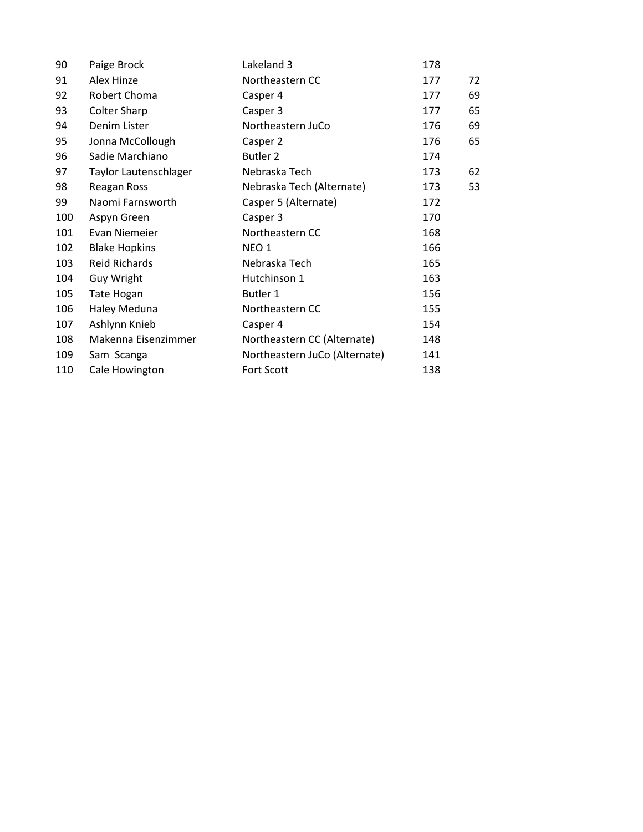| 90  | Paige Brock           | Lakeland 3                    | 178 |    |
|-----|-----------------------|-------------------------------|-----|----|
| 91  | Alex Hinze            | Northeastern CC               | 177 | 72 |
| 92  | Robert Choma          | Casper 4                      | 177 | 69 |
| 93  | <b>Colter Sharp</b>   | Casper 3                      | 177 | 65 |
| 94  | Denim Lister          | Northeastern JuCo             | 176 | 69 |
| 95  | Jonna McCollough      | Casper 2                      | 176 | 65 |
| 96  | Sadie Marchiano       | Butler 2                      | 174 |    |
| 97  | Taylor Lautenschlager | Nebraska Tech                 | 173 | 62 |
| 98  | Reagan Ross           | Nebraska Tech (Alternate)     | 173 | 53 |
| 99  | Naomi Farnsworth      | Casper 5 (Alternate)          | 172 |    |
| 100 | Aspyn Green           | Casper 3                      | 170 |    |
| 101 | Evan Niemeier         | Northeastern CC               | 168 |    |
| 102 | <b>Blake Hopkins</b>  | NEO <sub>1</sub>              | 166 |    |
| 103 | Reid Richards         | Nebraska Tech                 | 165 |    |
| 104 | <b>Guy Wright</b>     | Hutchinson 1                  | 163 |    |
| 105 | <b>Tate Hogan</b>     | Butler 1                      | 156 |    |
| 106 | Haley Meduna          | Northeastern CC               | 155 |    |
| 107 | Ashlynn Knieb         | Casper 4                      | 154 |    |
| 108 | Makenna Eisenzimmer   | Northeastern CC (Alternate)   | 148 |    |
| 109 | Sam Scanga            | Northeastern JuCo (Alternate) | 141 |    |
| 110 | Cale Howington        | Fort Scott                    | 138 |    |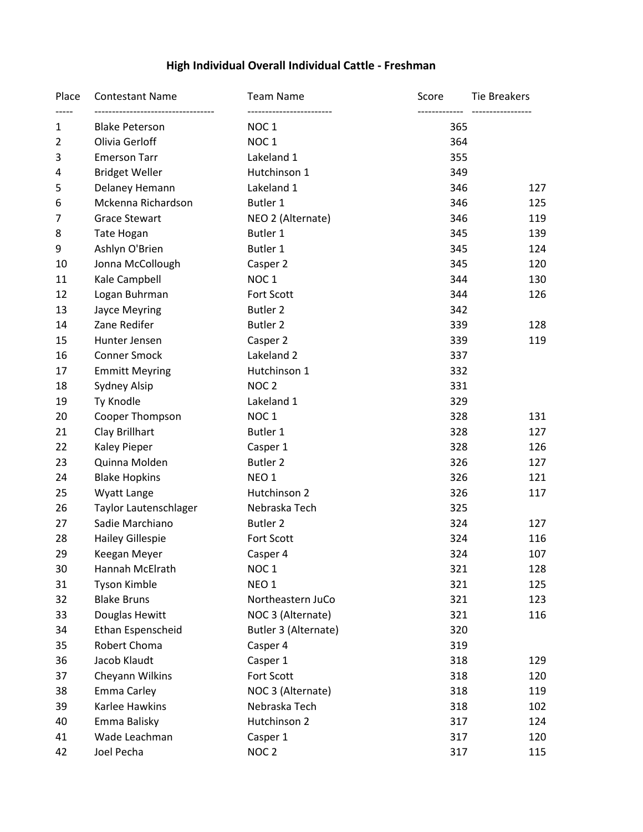# **High Individual Overall Individual Cattle - Freshman**

| Place          | <b>Contestant Name</b><br>--------------------------------- | <b>Team Name</b>                              | Score | Tie Breakers<br>------------------ |
|----------------|-------------------------------------------------------------|-----------------------------------------------|-------|------------------------------------|
| 1              | <b>Blake Peterson</b>                                       | -------------------------<br>NOC <sub>1</sub> | 365   |                                    |
| $\overline{2}$ | Olivia Gerloff                                              | NOC <sub>1</sub>                              | 364   |                                    |
| 3              | <b>Emerson Tarr</b>                                         | Lakeland 1                                    | 355   |                                    |
| 4              | <b>Bridget Weller</b>                                       | Hutchinson 1                                  | 349   |                                    |
| 5              | Delaney Hemann                                              | Lakeland 1                                    | 346   | 127                                |
| 6              | Mckenna Richardson                                          | Butler 1                                      | 346   | 125                                |
| 7              | <b>Grace Stewart</b>                                        | NEO 2 (Alternate)                             | 346   | 119                                |
| 8              | <b>Tate Hogan</b>                                           | Butler 1                                      | 345   | 139                                |
| 9              | Ashlyn O'Brien                                              | Butler 1                                      | 345   | 124                                |
| 10             | Jonna McCollough                                            | Casper 2                                      | 345   | 120                                |
| 11             | Kale Campbell                                               | NOC <sub>1</sub>                              | 344   | 130                                |
| 12             | Logan Buhrman                                               | Fort Scott                                    | 344   | 126                                |
| 13             | Jayce Meyring                                               | <b>Butler 2</b>                               | 342   |                                    |
| 14             | Zane Redifer                                                | <b>Butler 2</b>                               | 339   | 128                                |
| 15             | Hunter Jensen                                               | Casper 2                                      | 339   | 119                                |
| 16             | <b>Conner Smock</b>                                         | Lakeland 2                                    | 337   |                                    |
| 17             | <b>Emmitt Meyring</b>                                       | Hutchinson 1                                  | 332   |                                    |
| 18             | <b>Sydney Alsip</b>                                         | NOC <sub>2</sub>                              | 331   |                                    |
| 19             | Ty Knodle                                                   | Lakeland 1                                    | 329   |                                    |
| 20             | Cooper Thompson                                             | NOC <sub>1</sub>                              | 328   | 131                                |
| 21             | Clay Brillhart                                              | Butler 1                                      | 328   | 127                                |
| 22             | <b>Kaley Pieper</b>                                         | Casper 1                                      | 328   | 126                                |
| 23             | Quinna Molden                                               | <b>Butler 2</b>                               | 326   | 127                                |
| 24             | <b>Blake Hopkins</b>                                        | NEO <sub>1</sub>                              | 326   | 121                                |
| 25             | Wyatt Lange                                                 | Hutchinson 2                                  | 326   | 117                                |
| 26             | Taylor Lautenschlager                                       | Nebraska Tech                                 | 325   |                                    |
| 27             | Sadie Marchiano                                             | Butler 2                                      | 324   | 127                                |
| 28             | <b>Hailey Gillespie</b>                                     | Fort Scott                                    | 324   | 116                                |
| 29             | Keegan Meyer                                                | Casper 4                                      | 324   | 107                                |
| 30             | Hannah McElrath                                             | NOC <sub>1</sub>                              | 321   | 128                                |
| 31             | Tyson Kimble                                                | NEO <sub>1</sub>                              | 321   | 125                                |
| 32             | <b>Blake Bruns</b>                                          | Northeastern JuCo                             | 321   | 123                                |
| 33             | Douglas Hewitt                                              | NOC 3 (Alternate)                             | 321   | 116                                |
| 34             | Ethan Espenscheid                                           | Butler 3 (Alternate)                          | 320   |                                    |
| 35             | Robert Choma                                                | Casper 4                                      | 319   |                                    |
| 36             | Jacob Klaudt                                                | Casper 1                                      | 318   | 129                                |
| 37             | Cheyann Wilkins                                             | Fort Scott                                    | 318   | 120                                |
| 38             | Emma Carley                                                 | NOC 3 (Alternate)                             | 318   | 119                                |
| 39             | Karlee Hawkins                                              | Nebraska Tech                                 | 318   | 102                                |
| 40             | Emma Balisky                                                | Hutchinson 2                                  | 317   | 124                                |
| 41             | Wade Leachman                                               | Casper 1                                      | 317   | 120                                |
| 42             | Joel Pecha                                                  | NOC <sub>2</sub>                              | 317   | 115                                |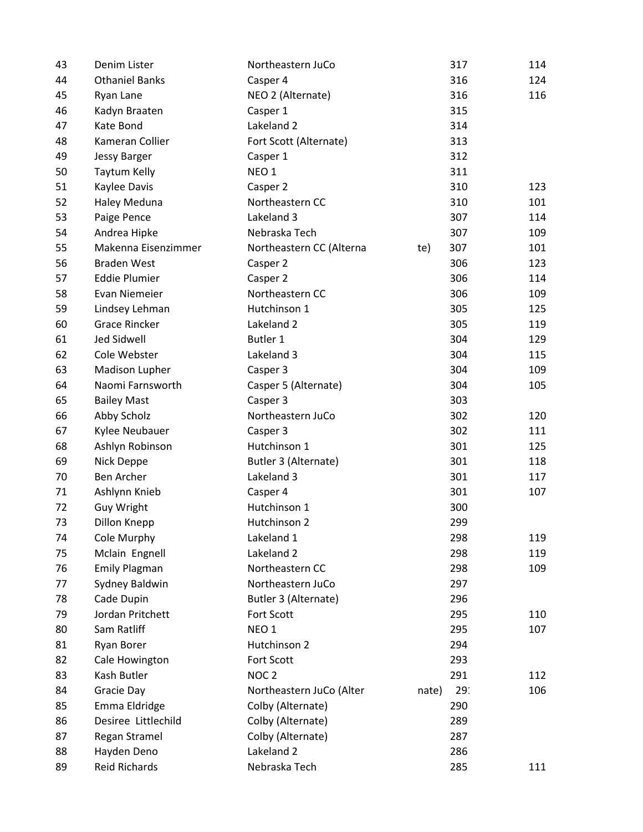| 43 | Denim Lister          | Northeastern JuCo        | 317                      | 114 |
|----|-----------------------|--------------------------|--------------------------|-----|
| 44 | <b>Othaniel Banks</b> | Casper 4                 | 316                      | 124 |
| 45 | Ryan Lane             | NEO 2 (Alternate)        | 316                      | 116 |
| 46 | Kadyn Braaten         | Casper 1                 | 315                      |     |
| 47 | Kate Bond             | Lakeland 2               | 314                      |     |
| 48 | Kameran Collier       | Fort Scott (Alternate)   | 313                      |     |
| 49 | <b>Jessy Barger</b>   | Casper 1                 | 312                      |     |
| 50 | Taytum Kelly          | NEO <sub>1</sub>         | 311                      |     |
| 51 | Kaylee Davis          | Casper 2                 | 310                      | 123 |
| 52 | Haley Meduna          | Northeastern CC          | 310                      | 101 |
| 53 | Paige Pence           | Lakeland 3               | 307                      | 114 |
| 54 | Andrea Hipke          | Nebraska Tech            | 307                      | 109 |
| 55 | Makenna Eisenzimmer   | Northeastern CC (Alterna | 307<br>te)               | 101 |
| 56 | <b>Braden West</b>    | Casper 2                 | 306                      | 123 |
| 57 | <b>Eddie Plumier</b>  | Casper 2                 | 306                      | 114 |
| 58 | Evan Niemeier         | Northeastern CC          | 306                      | 109 |
| 59 | Lindsey Lehman        | Hutchinson 1             | 305                      | 125 |
| 60 | <b>Grace Rincker</b>  | Lakeland 2               | 305                      | 119 |
| 61 | <b>Jed Sidwell</b>    | Butler 1                 | 304                      | 129 |
| 62 | Cole Webster          | Lakeland 3               | 304                      | 115 |
| 63 | Madison Lupher        | Casper 3                 | 304                      | 109 |
| 64 | Naomi Farnsworth      | Casper 5 (Alternate)     | 304                      | 105 |
| 65 | <b>Bailey Mast</b>    | Casper 3                 | 303                      |     |
| 66 | Abby Scholz           | Northeastern JuCo        | 302                      | 120 |
| 67 | Kylee Neubauer        | Casper 3                 | 302                      | 111 |
| 68 | Ashlyn Robinson       | Hutchinson 1             | 301                      | 125 |
| 69 | Nick Deppe            | Butler 3 (Alternate)     | 301                      | 118 |
| 70 | Ben Archer            | Lakeland 3               | 301                      | 117 |
| 71 | Ashlynn Knieb         | Casper 4                 | 301                      | 107 |
| 72 | Guy Wright            | Hutchinson 1             | 300                      |     |
| 73 | Dillon Knepp          | Hutchinson 2             | 299                      |     |
| 74 | Cole Murphy           | Lakeland 1               | 298                      | 119 |
| 75 | Mclain Engnell        | Lakeland 2               | 298                      | 119 |
| 76 | <b>Emily Plagman</b>  | Northeastern CC          | 298                      | 109 |
| 77 | Sydney Baldwin        | Northeastern JuCo        | 297                      |     |
| 78 | Cade Dupin            | Butler 3 (Alternate)     | 296                      |     |
| 79 | Jordan Pritchett      | Fort Scott               | 295                      | 110 |
| 80 | Sam Ratliff           | NEO <sub>1</sub>         | 295                      | 107 |
| 81 | Ryan Borer            | Hutchinson 2             | 294                      |     |
| 82 | Cale Howington        | Fort Scott               | 293                      |     |
| 83 | Kash Butler           | NOC <sub>2</sub>         | 291                      | 112 |
| 84 | Gracie Day            | Northeastern JuCo (Alter | 29 <sup>°</sup><br>nate) | 106 |
| 85 | Emma Eldridge         | Colby (Alternate)        | 290                      |     |
| 86 | Desiree Littlechild   | Colby (Alternate)        | 289                      |     |
| 87 | Regan Stramel         | Colby (Alternate)        | 287                      |     |
| 88 | Hayden Deno           | Lakeland 2               | 286                      |     |
| 89 | <b>Reid Richards</b>  | Nebraska Tech            | 285                      | 111 |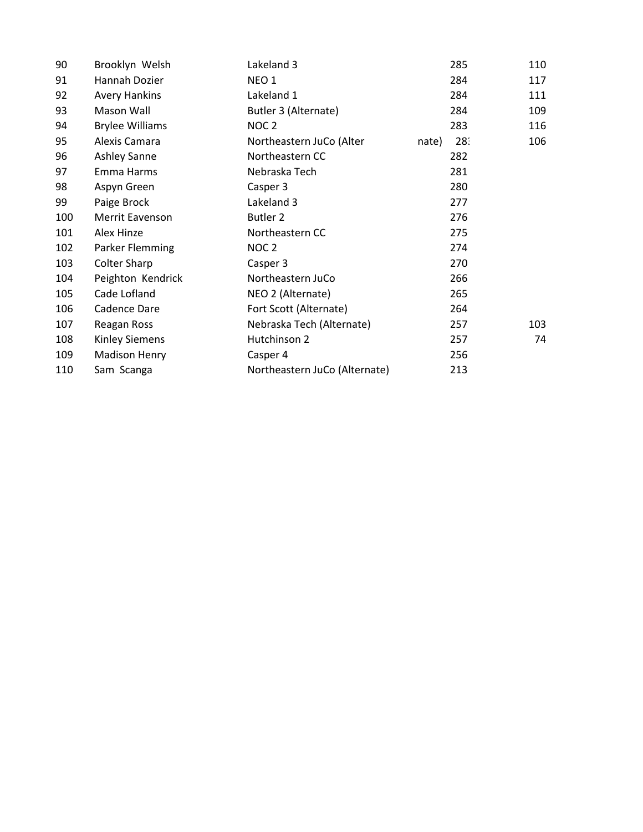| 90  | Brooklyn Welsh         | Lakeland 3                    |       | 285 | 110 |
|-----|------------------------|-------------------------------|-------|-----|-----|
| 91  | Hannah Dozier          | NEO <sub>1</sub>              |       | 284 | 117 |
| 92  | <b>Avery Hankins</b>   | Lakeland 1                    |       | 284 | 111 |
| 93  | Mason Wall             | Butler 3 (Alternate)          |       | 284 | 109 |
| 94  | <b>Brylee Williams</b> | NOC <sub>2</sub>              |       | 283 | 116 |
| 95  | Alexis Camara          | Northeastern JuCo (Alter      | nate) | 28: | 106 |
| 96  | <b>Ashley Sanne</b>    | Northeastern CC               |       | 282 |     |
| 97  | Emma Harms             | Nebraska Tech                 |       | 281 |     |
| 98  | Aspyn Green            | Casper 3                      |       | 280 |     |
| 99  | Paige Brock            | Lakeland 3                    |       | 277 |     |
| 100 | Merrit Eavenson        | <b>Butler 2</b>               |       | 276 |     |
| 101 | Alex Hinze             | Northeastern CC               |       | 275 |     |
| 102 | Parker Flemming        | NOC <sub>2</sub>              |       | 274 |     |
| 103 | <b>Colter Sharp</b>    | Casper 3                      |       | 270 |     |
| 104 | Peighton Kendrick      | Northeastern JuCo             |       | 266 |     |
| 105 | Cade Lofland           | NEO 2 (Alternate)             |       | 265 |     |
| 106 | Cadence Dare           | Fort Scott (Alternate)        |       | 264 |     |
| 107 | Reagan Ross            | Nebraska Tech (Alternate)     |       | 257 | 103 |
| 108 | <b>Kinley Siemens</b>  | Hutchinson 2                  |       | 257 | 74  |
| 109 | <b>Madison Henry</b>   | Casper 4                      |       | 256 |     |
| 110 | Sam Scanga             | Northeastern JuCo (Alternate) |       | 213 |     |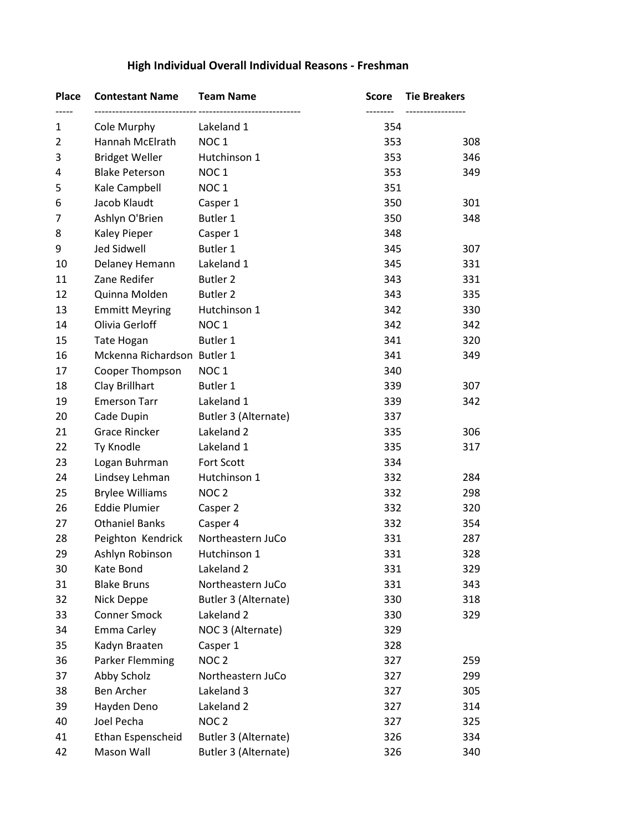| <b>Place</b>   | <b>Contestant Name</b>      | <b>Team Name</b>     | Score | <b>Tie Breakers</b> |
|----------------|-----------------------------|----------------------|-------|---------------------|
| 1              | Cole Murphy                 | Lakeland 1           | 354   | ----------------    |
| $\overline{2}$ | Hannah McElrath             | NOC <sub>1</sub>     | 353   | 308                 |
| 3              | <b>Bridget Weller</b>       | Hutchinson 1         | 353   | 346                 |
| 4              | <b>Blake Peterson</b>       | NOC <sub>1</sub>     | 353   | 349                 |
| 5              | Kale Campbell               | NOC <sub>1</sub>     | 351   |                     |
| 6              | Jacob Klaudt                | Casper 1             | 350   | 301                 |
| 7              | Ashlyn O'Brien              | Butler 1             | 350   | 348                 |
| 8              | Kaley Pieper                | Casper 1             | 348   |                     |
| 9              | Jed Sidwell                 | Butler 1             | 345   | 307                 |
| 10             | Delaney Hemann              | Lakeland 1           | 345   | 331                 |
| 11             | Zane Redifer                | <b>Butler 2</b>      | 343   | 331                 |
| 12             | Quinna Molden               | <b>Butler 2</b>      | 343   | 335                 |
| 13             | <b>Emmitt Meyring</b>       | Hutchinson 1         | 342   | 330                 |
| 14             | Olivia Gerloff              | NOC <sub>1</sub>     | 342   | 342                 |
| 15             | Tate Hogan                  | <b>Butler 1</b>      | 341   | 320                 |
| 16             | Mckenna Richardson Butler 1 |                      | 341   | 349                 |
| 17             | Cooper Thompson             | NOC <sub>1</sub>     | 340   |                     |
| 18             | Clay Brillhart              | Butler 1             | 339   | 307                 |
| 19             | <b>Emerson Tarr</b>         | Lakeland 1           | 339   | 342                 |
| 20             | Cade Dupin                  | Butler 3 (Alternate) | 337   |                     |
| 21             | <b>Grace Rincker</b>        | Lakeland 2           | 335   | 306                 |
| 22             | Ty Knodle                   | Lakeland 1           | 335   | 317                 |
| 23             | Logan Buhrman               | <b>Fort Scott</b>    | 334   |                     |
| 24             | Lindsey Lehman              | Hutchinson 1         | 332   | 284                 |
| 25             | <b>Brylee Williams</b>      | NOC <sub>2</sub>     | 332   | 298                 |
| 26             | <b>Eddie Plumier</b>        | Casper 2             | 332   | 320                 |
| 27             | <b>Othaniel Banks</b>       | Casper 4             | 332   | 354                 |
| 28             | Peighton Kendrick           | Northeastern JuCo    | 331   | 287                 |
| 29             | Ashlyn Robinson             | Hutchinson 1         | 331   | 328                 |
| 30             | Kate Bond                   | Lakeland 2           | 331   | 329                 |
| 31             | <b>Blake Bruns</b>          | Northeastern JuCo    | 331   | 343                 |
| 32             | Nick Deppe                  | Butler 3 (Alternate) | 330   | 318                 |
| 33             | <b>Conner Smock</b>         | Lakeland 2           | 330   | 329                 |
| 34             | Emma Carley                 | NOC 3 (Alternate)    | 329   |                     |
| 35             | Kadyn Braaten               | Casper 1             | 328   |                     |
| 36             | Parker Flemming             | NOC <sub>2</sub>     | 327   | 259                 |
| 37             | Abby Scholz                 | Northeastern JuCo    | 327   | 299                 |
| 38             | Ben Archer                  | Lakeland 3           | 327   | 305                 |
| 39             | Hayden Deno                 | Lakeland 2           | 327   | 314                 |
| 40             | Joel Pecha                  | NOC <sub>2</sub>     | 327   | 325                 |
| 41             | Ethan Espenscheid           | Butler 3 (Alternate) | 326   | 334                 |
| 42             | Mason Wall                  | Butler 3 (Alternate) | 326   | 340                 |

# **High Individual Overall Individual Reasons - Freshman**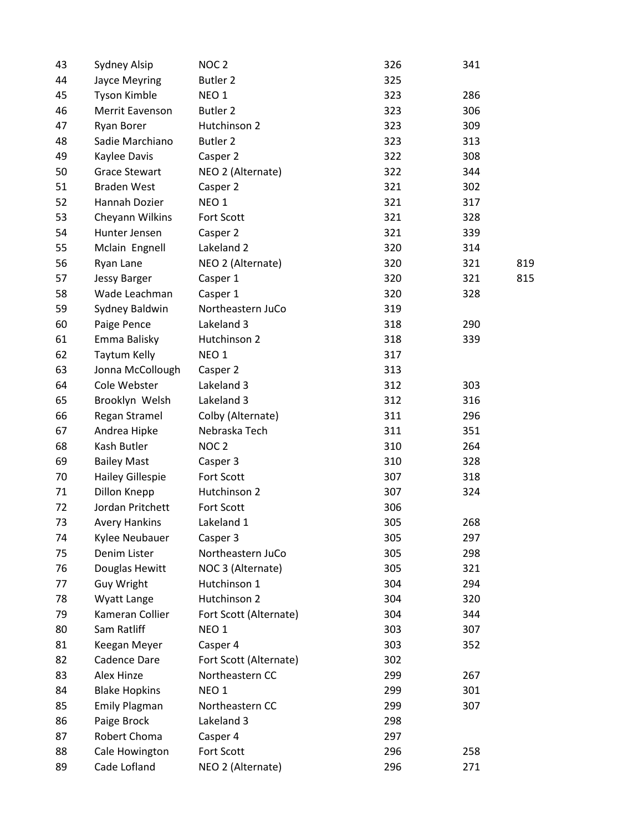| 43 | Sydney Alsip            | NOC <sub>2</sub>       | 326 | 341 |     |
|----|-------------------------|------------------------|-----|-----|-----|
| 44 | Jayce Meyring           | <b>Butler 2</b>        | 325 |     |     |
| 45 | Tyson Kimble            | NEO <sub>1</sub>       | 323 | 286 |     |
| 46 | Merrit Eavenson         | <b>Butler 2</b>        | 323 | 306 |     |
| 47 | Ryan Borer              | Hutchinson 2           | 323 | 309 |     |
| 48 | Sadie Marchiano         | <b>Butler 2</b>        | 323 | 313 |     |
| 49 | Kaylee Davis            | Casper 2               | 322 | 308 |     |
| 50 | <b>Grace Stewart</b>    | NEO 2 (Alternate)      | 322 | 344 |     |
| 51 | <b>Braden West</b>      | Casper 2               | 321 | 302 |     |
| 52 | <b>Hannah Dozier</b>    | NEO <sub>1</sub>       | 321 | 317 |     |
| 53 | Cheyann Wilkins         | Fort Scott             | 321 | 328 |     |
| 54 | Hunter Jensen           | Casper 2               | 321 | 339 |     |
| 55 | Mclain Engnell          | Lakeland 2             | 320 | 314 |     |
| 56 | Ryan Lane               | NEO 2 (Alternate)      | 320 | 321 | 819 |
| 57 | <b>Jessy Barger</b>     | Casper 1               | 320 | 321 | 815 |
| 58 | Wade Leachman           | Casper 1               | 320 | 328 |     |
| 59 | Sydney Baldwin          | Northeastern JuCo      | 319 |     |     |
| 60 | Paige Pence             | Lakeland 3             | 318 | 290 |     |
| 61 | Emma Balisky            | Hutchinson 2           | 318 | 339 |     |
| 62 | Taytum Kelly            | NEO <sub>1</sub>       | 317 |     |     |
| 63 | Jonna McCollough        | Casper 2               | 313 |     |     |
| 64 | Cole Webster            | Lakeland 3             | 312 | 303 |     |
| 65 | Brooklyn Welsh          | Lakeland 3             | 312 | 316 |     |
| 66 | Regan Stramel           | Colby (Alternate)      | 311 | 296 |     |
| 67 | Andrea Hipke            | Nebraska Tech          | 311 | 351 |     |
| 68 | Kash Butler             | NOC <sub>2</sub>       | 310 | 264 |     |
| 69 | <b>Bailey Mast</b>      | Casper 3               | 310 | 328 |     |
| 70 | <b>Hailey Gillespie</b> | Fort Scott             | 307 | 318 |     |
| 71 | Dillon Knepp            | Hutchinson 2           | 307 | 324 |     |
| 72 | Jordan Pritchett        | Fort Scott             | 306 |     |     |
| 73 | <b>Avery Hankins</b>    | Lakeland 1             | 305 | 268 |     |
| 74 | Kylee Neubauer          | Casper 3               | 305 | 297 |     |
| 75 | Denim Lister            | Northeastern JuCo      | 305 | 298 |     |
| 76 | Douglas Hewitt          | NOC 3 (Alternate)      | 305 | 321 |     |
| 77 | Guy Wright              | Hutchinson 1           | 304 | 294 |     |
| 78 | Wyatt Lange             | Hutchinson 2           | 304 | 320 |     |
| 79 | Kameran Collier         | Fort Scott (Alternate) | 304 | 344 |     |
| 80 | Sam Ratliff             | NEO <sub>1</sub>       | 303 | 307 |     |
| 81 | Keegan Meyer            | Casper 4               | 303 | 352 |     |
| 82 | Cadence Dare            | Fort Scott (Alternate) | 302 |     |     |
| 83 | Alex Hinze              | Northeastern CC        | 299 | 267 |     |
| 84 | <b>Blake Hopkins</b>    | NEO <sub>1</sub>       | 299 | 301 |     |
| 85 | <b>Emily Plagman</b>    | Northeastern CC        | 299 | 307 |     |
| 86 | Paige Brock             | Lakeland 3             | 298 |     |     |
| 87 | Robert Choma            | Casper 4               | 297 |     |     |
| 88 | Cale Howington          | Fort Scott             | 296 | 258 |     |
| 89 | Cade Lofland            | NEO 2 (Alternate)      | 296 | 271 |     |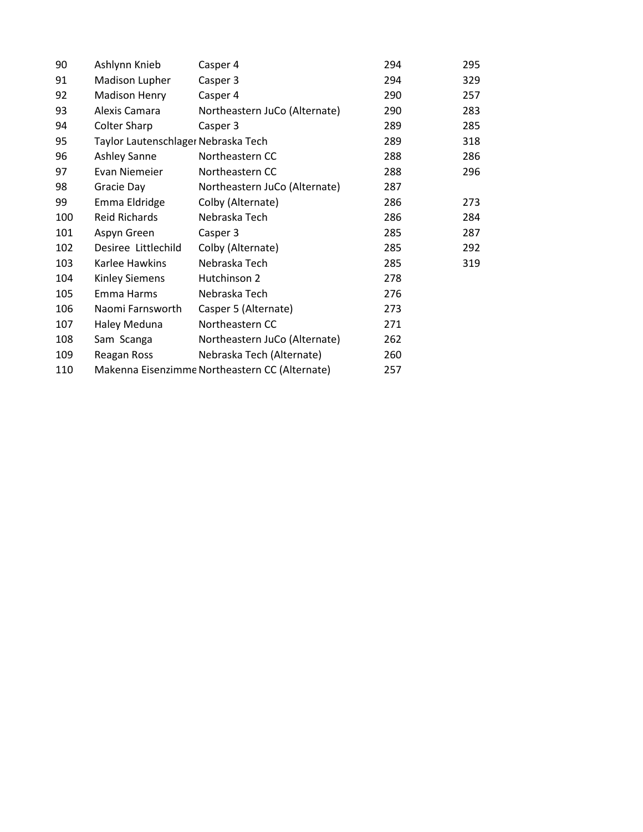| 90  | Ashlynn Knieb                       | Casper 4                                       | 294 | 295 |
|-----|-------------------------------------|------------------------------------------------|-----|-----|
| 91  | Madison Lupher                      | Casper 3                                       | 294 | 329 |
| 92  | Madison Henry                       | Casper 4                                       | 290 | 257 |
| 93  | Alexis Camara                       | Northeastern JuCo (Alternate)                  | 290 | 283 |
| 94  | Colter Sharp                        | Casper 3                                       | 289 | 285 |
| 95  | Taylor Lautenschlager Nebraska Tech |                                                | 289 | 318 |
| 96  | Ashley Sanne                        | Northeastern CC                                | 288 | 286 |
| 97  | Evan Niemeier                       | Northeastern CC                                | 288 | 296 |
| 98  | Gracie Day                          | Northeastern JuCo (Alternate)                  | 287 |     |
| 99  | Emma Eldridge                       | Colby (Alternate)                              | 286 | 273 |
| 100 | <b>Reid Richards</b>                | Nebraska Tech                                  | 286 | 284 |
| 101 | Aspyn Green                         | Casper 3                                       | 285 | 287 |
| 102 | Desiree Littlechild                 | Colby (Alternate)                              | 285 | 292 |
| 103 | Karlee Hawkins                      | Nebraska Tech                                  | 285 | 319 |
| 104 | <b>Kinley Siemens</b>               | Hutchinson 2                                   | 278 |     |
| 105 | Emma Harms                          | Nebraska Tech                                  | 276 |     |
| 106 | Naomi Farnsworth                    | Casper 5 (Alternate)                           | 273 |     |
| 107 | Haley Meduna                        | Northeastern CC                                | 271 |     |
| 108 | Sam Scanga                          | Northeastern JuCo (Alternate)                  | 262 |     |
| 109 | Reagan Ross                         | Nebraska Tech (Alternate)                      | 260 |     |
| 110 |                                     | Makenna Eisenzimme Northeastern CC (Alternate) | 257 |     |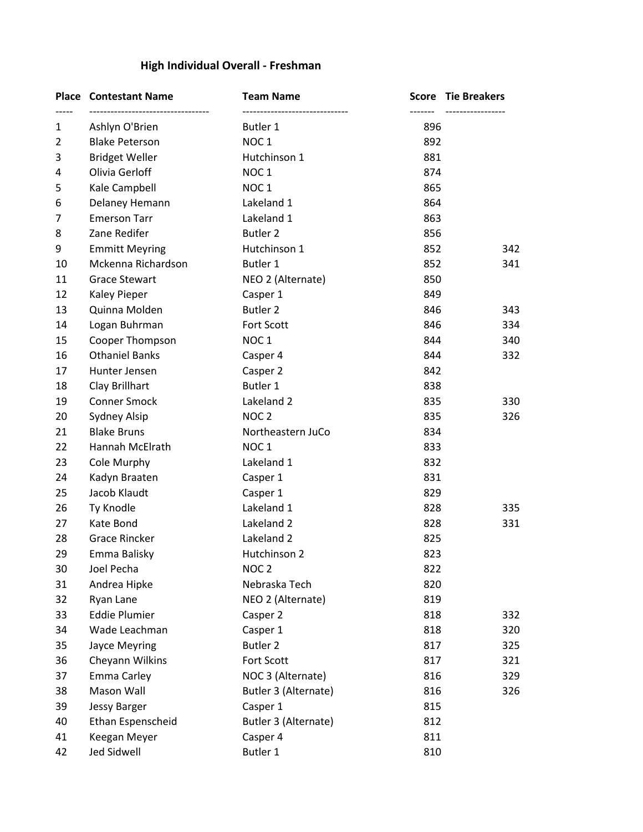# **High Individual Overall - Freshman**

|              | <b>Place Contestant Name</b> | <b>Team Name</b>     |     | <b>Score Tie Breakers</b> |
|--------------|------------------------------|----------------------|-----|---------------------------|
| $\mathbf{1}$ | Ashlyn O'Brien               | Butler 1             | 896 |                           |
| 2            | <b>Blake Peterson</b>        | NOC <sub>1</sub>     | 892 |                           |
| 3            | <b>Bridget Weller</b>        | Hutchinson 1         | 881 |                           |
| 4            | Olivia Gerloff               | NOC <sub>1</sub>     | 874 |                           |
| 5            | Kale Campbell                | NOC <sub>1</sub>     | 865 |                           |
| 6            | Delaney Hemann               | Lakeland 1           | 864 |                           |
| 7            | <b>Emerson Tarr</b>          | Lakeland 1           | 863 |                           |
| 8            | Zane Redifer                 | Butler <sub>2</sub>  | 856 |                           |
| 9            | <b>Emmitt Meyring</b>        | Hutchinson 1         | 852 | 342                       |
| 10           | Mckenna Richardson           | Butler 1             | 852 | 341                       |
| 11           | <b>Grace Stewart</b>         | NEO 2 (Alternate)    | 850 |                           |
| 12           | <b>Kaley Pieper</b>          | Casper 1             | 849 |                           |
| 13           | Quinna Molden                | <b>Butler 2</b>      | 846 | 343                       |
| 14           | Logan Buhrman                | Fort Scott           | 846 | 334                       |
| 15           | Cooper Thompson              | NOC <sub>1</sub>     | 844 | 340                       |
| 16           | <b>Othaniel Banks</b>        | Casper 4             | 844 | 332                       |
| 17           | Hunter Jensen                | Casper 2             | 842 |                           |
| 18           | Clay Brillhart               | Butler 1             | 838 |                           |
| 19           | Conner Smock                 | Lakeland 2           | 835 | 330                       |
| 20           | Sydney Alsip                 | NOC <sub>2</sub>     | 835 | 326                       |
| 21           | <b>Blake Bruns</b>           | Northeastern JuCo    | 834 |                           |
| 22           | Hannah McElrath              | NOC <sub>1</sub>     | 833 |                           |
| 23           | Cole Murphy                  | Lakeland 1           | 832 |                           |
| 24           | Kadyn Braaten                | Casper 1             | 831 |                           |
| 25           | Jacob Klaudt                 | Casper 1             | 829 |                           |
| 26           | Ty Knodle                    | Lakeland 1           | 828 | 335                       |
| 27           | Kate Bond                    | Lakeland 2           | 828 | 331                       |
| 28           | <b>Grace Rincker</b>         | Lakeland 2           | 825 |                           |
| 29           | Emma Balisky                 | Hutchinson 2         | 823 |                           |
| 30           | Joel Pecha                   | NOC <sub>2</sub>     | 822 |                           |
| 31           | Andrea Hipke                 | Nebraska Tech        | 820 |                           |
| 32           | Ryan Lane                    | NEO 2 (Alternate)    | 819 |                           |
| 33           | <b>Eddie Plumier</b>         | Casper 2             | 818 | 332                       |
| 34           | Wade Leachman                | Casper 1             | 818 | 320                       |
| 35           | Jayce Meyring                | <b>Butler 2</b>      | 817 | 325                       |
| 36           | Cheyann Wilkins              | Fort Scott           | 817 | 321                       |
| 37           | Emma Carley                  | NOC 3 (Alternate)    | 816 | 329                       |
| 38           | Mason Wall                   | Butler 3 (Alternate) | 816 | 326                       |
| 39           | <b>Jessy Barger</b>          | Casper 1             | 815 |                           |
| 40           | Ethan Espenscheid            | Butler 3 (Alternate) | 812 |                           |
| 41           | Keegan Meyer                 | Casper 4             | 811 |                           |
| 42           | Jed Sidwell                  | Butler 1             | 810 |                           |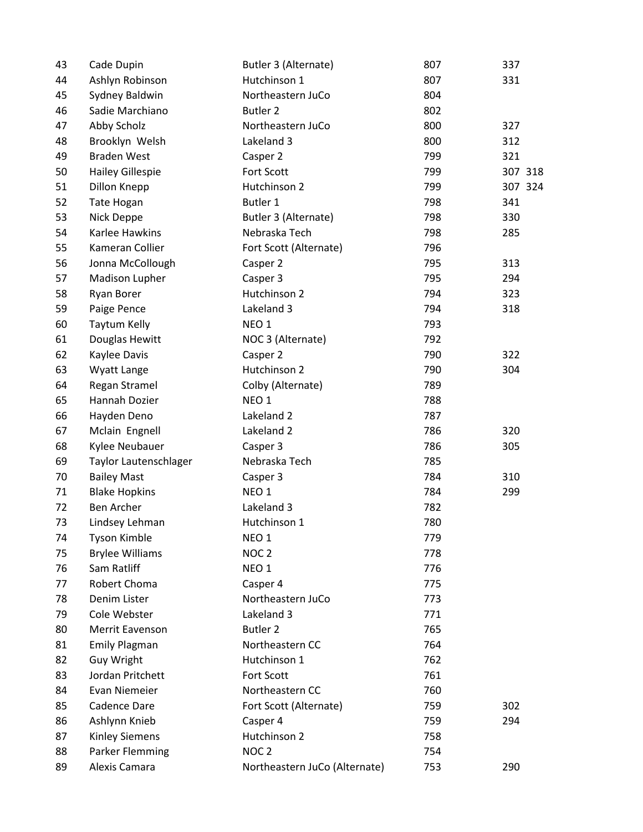| 43 | Cade Dupin              | Butler 3 (Alternate)          | 807 | 337     |
|----|-------------------------|-------------------------------|-----|---------|
| 44 | Ashlyn Robinson         | Hutchinson 1                  | 807 | 331     |
| 45 | Sydney Baldwin          | Northeastern JuCo             | 804 |         |
| 46 | Sadie Marchiano         | Butler 2                      | 802 |         |
| 47 | Abby Scholz             | Northeastern JuCo             | 800 | 327     |
| 48 | Brooklyn Welsh          | Lakeland 3                    | 800 | 312     |
| 49 | <b>Braden West</b>      | Casper 2                      | 799 | 321     |
| 50 | <b>Hailey Gillespie</b> | Fort Scott                    | 799 | 307 318 |
| 51 | Dillon Knepp            | Hutchinson 2                  | 799 | 307 324 |
| 52 | Tate Hogan              | Butler 1                      | 798 | 341     |
| 53 | Nick Deppe              | Butler 3 (Alternate)          | 798 | 330     |
| 54 | Karlee Hawkins          | Nebraska Tech                 | 798 | 285     |
| 55 | Kameran Collier         | Fort Scott (Alternate)        | 796 |         |
| 56 | Jonna McCollough        | Casper 2                      | 795 | 313     |
| 57 | Madison Lupher          | Casper 3                      | 795 | 294     |
| 58 | Ryan Borer              | Hutchinson 2                  | 794 | 323     |
| 59 | Paige Pence             | Lakeland 3                    | 794 | 318     |
| 60 | <b>Taytum Kelly</b>     | NEO <sub>1</sub>              | 793 |         |
| 61 | Douglas Hewitt          | NOC 3 (Alternate)             | 792 |         |
| 62 | Kaylee Davis            | Casper 2                      | 790 | 322     |
| 63 | Wyatt Lange             | Hutchinson 2                  | 790 | 304     |
| 64 | Regan Stramel           | Colby (Alternate)             | 789 |         |
| 65 | Hannah Dozier           | NEO <sub>1</sub>              | 788 |         |
| 66 | Hayden Deno             | Lakeland 2                    | 787 |         |
| 67 | Mclain Engnell          | Lakeland 2                    | 786 | 320     |
| 68 | Kylee Neubauer          | Casper 3                      | 786 | 305     |
| 69 | Taylor Lautenschlager   | Nebraska Tech                 | 785 |         |
| 70 | <b>Bailey Mast</b>      | Casper 3                      | 784 | 310     |
| 71 | <b>Blake Hopkins</b>    | NEO <sub>1</sub>              | 784 | 299     |
| 72 | <b>Ben Archer</b>       | Lakeland 3                    | 782 |         |
| 73 | Lindsey Lehman          | Hutchinson 1                  | 780 |         |
| 74 | <b>Tyson Kimble</b>     | NEO <sub>1</sub>              | 779 |         |
| 75 | <b>Brylee Williams</b>  | NOC <sub>2</sub>              | 778 |         |
| 76 | Sam Ratliff             | NEO <sub>1</sub>              | 776 |         |
| 77 | Robert Choma            | Casper 4                      | 775 |         |
| 78 | Denim Lister            | Northeastern JuCo             | 773 |         |
| 79 | Cole Webster            | Lakeland 3                    | 771 |         |
| 80 | Merrit Eavenson         | <b>Butler 2</b>               | 765 |         |
| 81 | <b>Emily Plagman</b>    | Northeastern CC               | 764 |         |
| 82 | Guy Wright              | Hutchinson 1                  | 762 |         |
| 83 | Jordan Pritchett        | Fort Scott                    | 761 |         |
| 84 | <b>Evan Niemeier</b>    | Northeastern CC               | 760 |         |
| 85 | Cadence Dare            | Fort Scott (Alternate)        | 759 | 302     |
| 86 | Ashlynn Knieb           | Casper 4                      | 759 | 294     |
| 87 | <b>Kinley Siemens</b>   | Hutchinson 2                  | 758 |         |
| 88 | Parker Flemming         | NOC <sub>2</sub>              | 754 |         |
| 89 | Alexis Camara           | Northeastern JuCo (Alternate) | 753 | 290     |